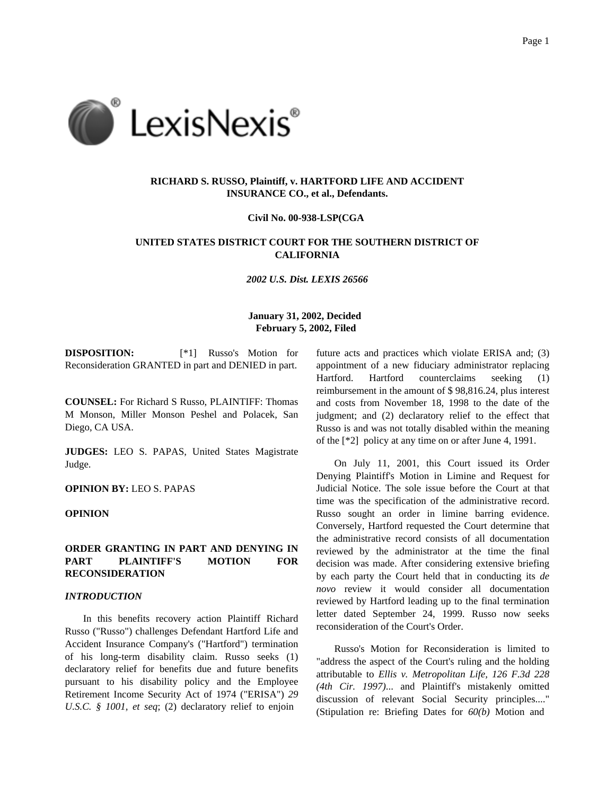

# **RICHARD S. RUSSO, Plaintiff, v. HARTFORD LIFE AND ACCIDENT INSURANCE CO., et al., Defendants.**

#### **Civil No. 00-938-LSP(CGA**

# **UNITED STATES DISTRICT COURT FOR THE SOUTHERN DISTRICT OF CALIFORNIA**

*2002 U.S. Dist. LEXIS 26566*

## **January 31, 2002, Decided February 5, 2002, Filed**

**DISPOSITION:** [\*1] Russo's Motion for Reconsideration GRANTED in part and DENIED in part.

**COUNSEL:** For Richard S Russo, PLAINTIFF: Thomas M Monson, Miller Monson Peshel and Polacek, San Diego, CA USA.

**JUDGES:** LEO S. PAPAS, United States Magistrate Judge.

### **OPINION BY:** LEO S. PAPAS

## **OPINION**

### **ORDER GRANTING IN PART AND DENYING IN PART PLAINTIFF'S MOTION FOR RECONSIDERATION**

#### *INTRODUCTION*

In this benefits recovery action Plaintiff Richard Russo ("Russo") challenges Defendant Hartford Life and Accident Insurance Company's ("Hartford") termination of his long-term disability claim. Russo seeks (1) declaratory relief for benefits due and future benefits pursuant to his disability policy and the Employee Retirement Income Security Act of 1974 ("ERISA") *29 U.S.C. § 1001, et seq*; (2) declaratory relief to enjoin

future acts and practices which violate ERISA and; (3) appointment of a new fiduciary administrator replacing Hartford. Hartford counterclaims seeking (1) reimbursement in the amount of \$ 98,816.24, plus interest and costs from November 18, 1998 to the date of the judgment; and (2) declaratory relief to the effect that Russo is and was not totally disabled within the meaning of the [\*2] policy at any time on or after June 4, 1991.

On July 11, 2001, this Court issued its Order Denying Plaintiff's Motion in Limine and Request for Judicial Notice. The sole issue before the Court at that time was the specification of the administrative record. Russo sought an order in limine barring evidence. Conversely, Hartford requested the Court determine that the administrative record consists of all documentation reviewed by the administrator at the time the final decision was made. After considering extensive briefing by each party the Court held that in conducting its *de novo* review it would consider all documentation reviewed by Hartford leading up to the final termination letter dated September 24, 1999. Russo now seeks reconsideration of the Court's Order.

Russo's Motion for Reconsideration is limited to "address the aspect of the Court's ruling and the holding attributable to *Ellis v. Metropolitan Life, 126 F.3d 228 (4th Cir. 1997)*... and Plaintiff's mistakenly omitted discussion of relevant Social Security principles...." (Stipulation re: Briefing Dates for *60(b)* Motion and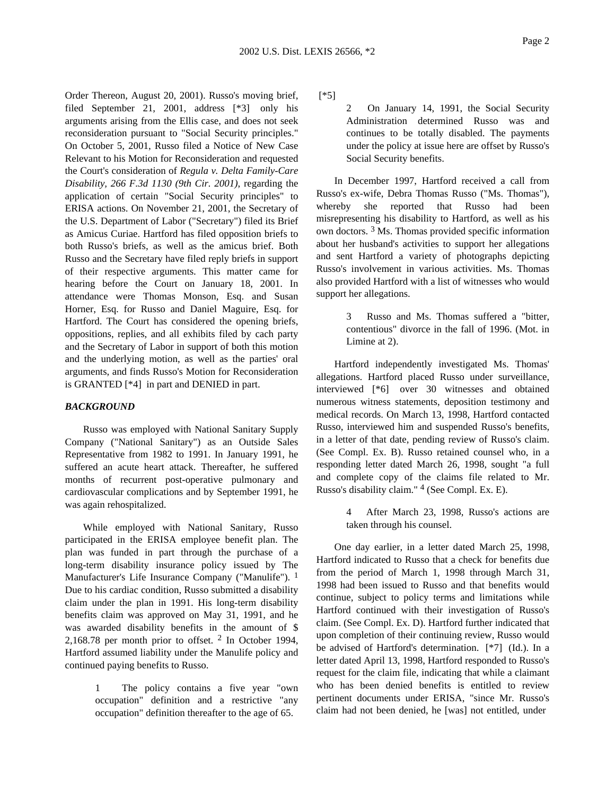Order Thereon, August 20, 2001). Russo's moving brief, filed September 21, 2001, address [\*3] only his arguments arising from the Ellis case, and does not seek reconsideration pursuant to "Social Security principles." On October 5, 2001, Russo filed a Notice of New Case Relevant to his Motion for Reconsideration and requested the Court's consideration of *Regula v. Delta Family-Care Disability, 266 F.3d 1130 (9th Cir. 2001)*, regarding the application of certain "Social Security principles" to ERISA actions. On November 21, 2001, the Secretary of the U.S. Department of Labor ("Secretary") filed its Brief as Amicus Curiae. Hartford has filed opposition briefs to both Russo's briefs, as well as the amicus brief. Both Russo and the Secretary have filed reply briefs in support of their respective arguments. This matter came for hearing before the Court on January 18, 2001. In attendance were Thomas Monson, Esq. and Susan Horner, Esq. for Russo and Daniel Maguire, Esq. for Hartford. The Court has considered the opening briefs, oppositions, replies, and all exhibits filed by cach party and the Secretary of Labor in support of both this motion and the underlying motion, as well as the parties' oral arguments, and finds Russo's Motion for Reconsideration is GRANTED [\*4] in part and DENIED in part.

#### *BACKGROUND*

Russo was employed with National Sanitary Supply Company ("National Sanitary") as an Outside Sales Representative from 1982 to 1991. In January 1991, he suffered an acute heart attack. Thereafter, he suffered months of recurrent post-operative pulmonary and cardiovascular complications and by September 1991, he was again rehospitalized.

While employed with National Sanitary, Russo participated in the ERISA employee benefit plan. The plan was funded in part through the purchase of a long-term disability insurance policy issued by The Manufacturer's Life Insurance Company ("Manulife").  $<sup>1</sup>$ </sup> Due to his cardiac condition, Russo submitted a disability claim under the plan in 1991. His long-term disability benefits claim was approved on May 31, 1991, and he was awarded disability benefits in the amount of \$ 2,168.78 per month prior to offset. 2 In October 1994, Hartford assumed liability under the Manulife policy and continued paying benefits to Russo.

> 1 The policy contains a five year "own occupation" definition and a restrictive "any occupation" definition thereafter to the age of 65.

[\*5]

2 On January 14, 1991, the Social Security Administration determined Russo was and continues to be totally disabled. The payments under the policy at issue here are offset by Russo's Social Security benefits.

In December 1997, Hartford received a call from Russo's ex-wife, Debra Thomas Russo ("Ms. Thomas"), whereby she reported that Russo had been misrepresenting his disability to Hartford, as well as his own doctors. 3 Ms. Thomas provided specific information about her husband's activities to support her allegations and sent Hartford a variety of photographs depicting Russo's involvement in various activities. Ms. Thomas also provided Hartford with a list of witnesses who would support her allegations.

> 3 Russo and Ms. Thomas suffered a "bitter, contentious" divorce in the fall of 1996. (Mot. in Limine at 2).

Hartford independently investigated Ms. Thomas' allegations. Hartford placed Russo under surveillance, interviewed [\*6] over 30 witnesses and obtained numerous witness statements, deposition testimony and medical records. On March 13, 1998, Hartford contacted Russo, interviewed him and suspended Russo's benefits, in a letter of that date, pending review of Russo's claim. (See Compl. Ex. B). Russo retained counsel who, in a responding letter dated March 26, 1998, sought "a full and complete copy of the claims file related to Mr. Russo's disability claim." 4 (See Compl. Ex. E).

> 4 After March 23, 1998, Russo's actions are taken through his counsel.

One day earlier, in a letter dated March 25, 1998, Hartford indicated to Russo that a check for benefits due from the period of March 1, 1998 through March 31, 1998 had been issued to Russo and that benefits would continue, subject to policy terms and limitations while Hartford continued with their investigation of Russo's claim. (See Compl. Ex. D). Hartford further indicated that upon completion of their continuing review, Russo would be advised of Hartford's determination. [\*7] (Id.). In a letter dated April 13, 1998, Hartford responded to Russo's request for the claim file, indicating that while a claimant who has been denied benefits is entitled to review pertinent documents under ERISA, "since Mr. Russo's claim had not been denied, he [was] not entitled, under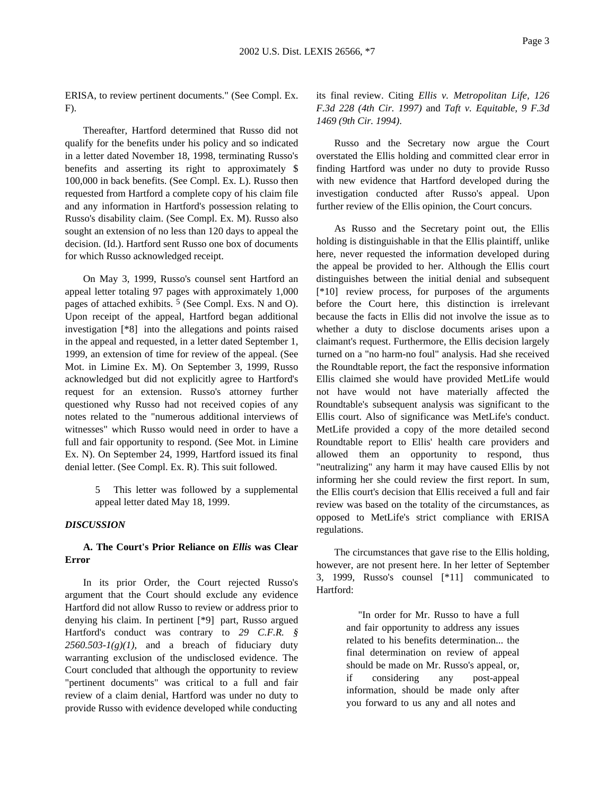ERISA, to review pertinent documents." (See Compl. Ex. F).

Thereafter, Hartford determined that Russo did not qualify for the benefits under his policy and so indicated in a letter dated November 18, 1998, terminating Russo's benefits and asserting its right to approximately \$ 100,000 in back benefits. (See Compl. Ex. L). Russo then requested from Hartford a complete copy of his claim file and any information in Hartford's possession relating to Russo's disability claim. (See Compl. Ex. M). Russo also sought an extension of no less than 120 days to appeal the decision. (Id.). Hartford sent Russo one box of documents for which Russo acknowledged receipt.

On May 3, 1999, Russo's counsel sent Hartford an appeal letter totaling 97 pages with approximately 1,000 pages of attached exhibits. <sup>5</sup> (See Compl. Exs. N and O). Upon receipt of the appeal, Hartford began additional investigation [\*8] into the allegations and points raised in the appeal and requested, in a letter dated September 1, 1999, an extension of time for review of the appeal. (See Mot. in Limine Ex. M). On September 3, 1999, Russo acknowledged but did not explicitly agree to Hartford's request for an extension. Russo's attorney further questioned why Russo had not received copies of any notes related to the "numerous additional interviews of witnesses" which Russo would need in order to have a full and fair opportunity to respond. (See Mot. in Limine Ex. N). On September 24, 1999, Hartford issued its final denial letter. (See Compl. Ex. R). This suit followed.

> 5 This letter was followed by a supplemental appeal letter dated May 18, 1999.

#### *DISCUSSION*

## **A. The Court's Prior Reliance on** *Ellis* **was Clear Error**

In its prior Order, the Court rejected Russo's argument that the Court should exclude any evidence Hartford did not allow Russo to review or address prior to denying his claim. In pertinent [\*9] part, Russo argued Hartford's conduct was contrary to *29 C.F.R. §*  $2560.503 - I(g)(1)$ , and a breach of fiduciary duty warranting exclusion of the undisclosed evidence. The Court concluded that although the opportunity to review "pertinent documents" was critical to a full and fair review of a claim denial, Hartford was under no duty to provide Russo with evidence developed while conducting

its final review. Citing *Ellis v. Metropolitan Life, 126 F.3d 228 (4th Cir. 1997)* and *Taft v. Equitable, 9 F.3d 1469 (9th Cir. 1994)*.

Russo and the Secretary now argue the Court overstated the Ellis holding and committed clear error in finding Hartford was under no duty to provide Russo with new evidence that Hartford developed during the investigation conducted after Russo's appeal. Upon further review of the Ellis opinion, the Court concurs.

As Russo and the Secretary point out, the Ellis holding is distinguishable in that the Ellis plaintiff, unlike here, never requested the information developed during the appeal be provided to her. Although the Ellis court distinguishes between the initial denial and subsequent [\*10] review process, for purposes of the arguments before the Court here, this distinction is irrelevant because the facts in Ellis did not involve the issue as to whether a duty to disclose documents arises upon a claimant's request. Furthermore, the Ellis decision largely turned on a "no harm-no foul" analysis. Had she received the Roundtable report, the fact the responsive information Ellis claimed she would have provided MetLife would not have would not have materially affected the Roundtable's subsequent analysis was significant to the Ellis court. Also of significance was MetLife's conduct. MetLife provided a copy of the more detailed second Roundtable report to Ellis' health care providers and allowed them an opportunity to respond, thus "neutralizing" any harm it may have caused Ellis by not informing her she could review the first report. In sum, the Ellis court's decision that Ellis received a full and fair review was based on the totality of the circumstances, as opposed to MetLife's strict compliance with ERISA regulations.

The circumstances that gave rise to the Ellis holding, however, are not present here. In her letter of September 3, 1999, Russo's counsel [\*11] communicated to Hartford:

> "In order for Mr. Russo to have a full and fair opportunity to address any issues related to his benefits determination... the final determination on review of appeal should be made on Mr. Russo's appeal, or, if considering any post-appeal information, should be made only after you forward to us any and all notes and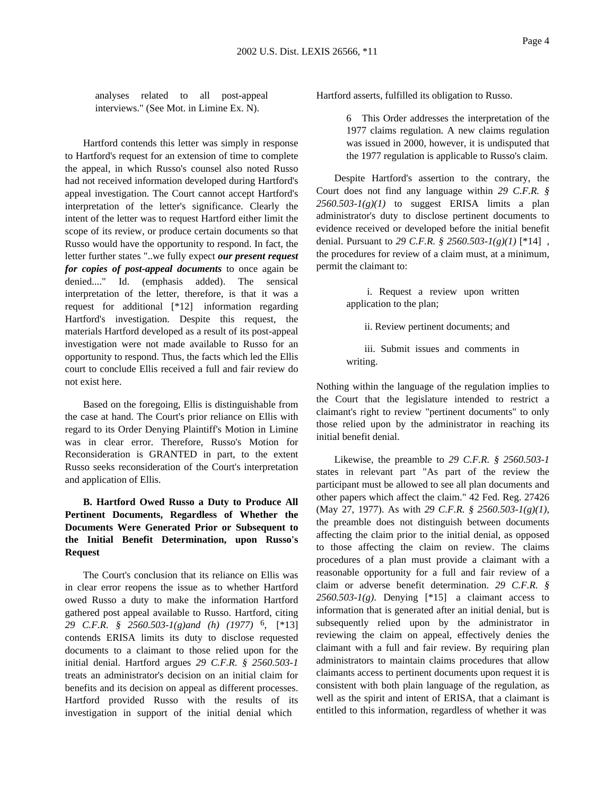analyses related to all post-appeal interviews." (See Mot. in Limine Ex. N).

Hartford contends this letter was simply in response to Hartford's request for an extension of time to complete the appeal, in which Russo's counsel also noted Russo had not received information developed during Hartford's appeal investigation. The Court cannot accept Hartford's interpretation of the letter's significance. Clearly the intent of the letter was to request Hartford either limit the scope of its review, or produce certain documents so that Russo would have the opportunity to respond. In fact, the letter further states "..we fully expect *our present request for copies of post-appeal documents* to once again be denied...." Id. (emphasis added). The sensical interpretation of the letter, therefore, is that it was a request for additional [\*12] information regarding Hartford's investigation. Despite this request, the materials Hartford developed as a result of its post-appeal investigation were not made available to Russo for an opportunity to respond. Thus, the facts which led the Ellis court to conclude Ellis received a full and fair review do not exist here.

Based on the foregoing, Ellis is distinguishable from the case at hand. The Court's prior reliance on Ellis with regard to its Order Denying Plaintiff's Motion in Limine was in clear error. Therefore, Russo's Motion for Reconsideration is GRANTED in part, to the extent Russo seeks reconsideration of the Court's interpretation and application of Ellis.

# **B. Hartford Owed Russo a Duty to Produce All Pertinent Documents, Regardless of Whether the Documents Were Generated Prior or Subsequent to the Initial Benefit Determination, upon Russo's Request**

The Court's conclusion that its reliance on Ellis was in clear error reopens the issue as to whether Hartford owed Russo a duty to make the information Hartford gathered post appeal available to Russo. Hartford, citing *29 C.F.R. § 2560.503-1(g)and (h) (1977)* 6, [\*13] contends ERISA limits its duty to disclose requested documents to a claimant to those relied upon for the initial denial. Hartford argues *29 C.F.R. § 2560.503-1* treats an administrator's decision on an initial claim for benefits and its decision on appeal as different processes. Hartford provided Russo with the results of its investigation in support of the initial denial which

Hartford asserts, fulfilled its obligation to Russo.

6 This Order addresses the interpretation of the 1977 claims regulation. A new claims regulation was issued in 2000, however, it is undisputed that the 1977 regulation is applicable to Russo's claim.

Despite Hartford's assertion to the contrary, the Court does not find any language within *29 C.F.R. §*  $2560.503 - I(g)(1)$  to suggest ERISA limits a plan administrator's duty to disclose pertinent documents to evidence received or developed before the initial benefit denial. Pursuant to *29 C.F.R. § 2560.503-1(g)(1)* [\*14] , the procedures for review of a claim must, at a minimum, permit the claimant to:

> i. Request a review upon written application to the plan;

ii. Review pertinent documents; and

iii. Submit issues and comments in writing.

Nothing within the language of the regulation implies to the Court that the legislature intended to restrict a claimant's right to review "pertinent documents" to only those relied upon by the administrator in reaching its initial benefit denial.

Likewise, the preamble to *29 C.F.R. § 2560.503-1* states in relevant part "As part of the review the participant must be allowed to see all plan documents and other papers which affect the claim." 42 Fed. Reg. 27426 (May 27, 1977). As with *29 C.F.R. § 2560.503-1(g)(1)*, the preamble does not distinguish between documents affecting the claim prior to the initial denial, as opposed to those affecting the claim on review. The claims procedures of a plan must provide a claimant with a reasonable opportunity for a full and fair review of a claim or adverse benefit determination. *29 C.F.R. §* 2560.503- $I(g)$ . Denying [\*15] a claimant access to information that is generated after an initial denial, but is subsequently relied upon by the administrator in reviewing the claim on appeal, effectively denies the claimant with a full and fair review. By requiring plan administrators to maintain claims procedures that allow claimants access to pertinent documents upon request it is consistent with both plain language of the regulation, as well as the spirit and intent of ERISA, that a claimant is entitled to this information, regardless of whether it was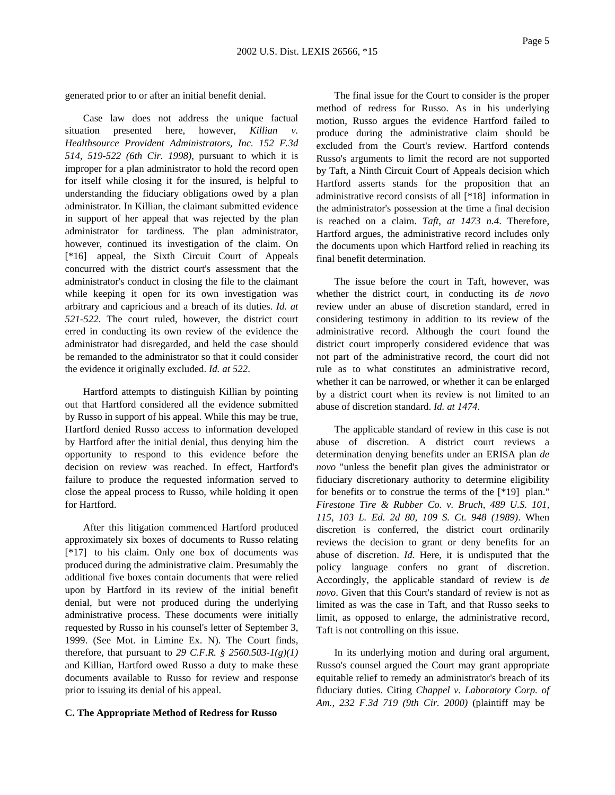generated prior to or after an initial benefit denial.

Case law does not address the unique factual situation presented here, however, *Killian v. Healthsource Provident Administrators, Inc. 152 F.3d 514, 519-522 (6th Cir. 1998)*, pursuant to which it is improper for a plan administrator to hold the record open for itself while closing it for the insured, is helpful to understanding the fiduciary obligations owed by a plan administrator. In Killian, the claimant submitted evidence in support of her appeal that was rejected by the plan administrator for tardiness. The plan administrator, however, continued its investigation of the claim. On [\*16] appeal, the Sixth Circuit Court of Appeals concurred with the district court's assessment that the administrator's conduct in closing the file to the claimant while keeping it open for its own investigation was arbitrary and capricious and a breach of its duties. *Id. at 521-522*. The court ruled, however, the district court erred in conducting its own review of the evidence the administrator had disregarded, and held the case should be remanded to the administrator so that it could consider the evidence it originally excluded. *Id. at 522*.

Hartford attempts to distinguish Killian by pointing out that Hartford considered all the evidence submitted by Russo in support of his appeal. While this may be true, Hartford denied Russo access to information developed by Hartford after the initial denial, thus denying him the opportunity to respond to this evidence before the decision on review was reached. In effect, Hartford's failure to produce the requested information served to close the appeal process to Russo, while holding it open for Hartford.

After this litigation commenced Hartford produced approximately six boxes of documents to Russo relating [\*17] to his claim. Only one box of documents was produced during the administrative claim. Presumably the additional five boxes contain documents that were relied upon by Hartford in its review of the initial benefit denial, but were not produced during the underlying administrative process. These documents were initially requested by Russo in his counsel's letter of September 3, 1999. (See Mot. in Limine Ex. N). The Court finds, therefore, that pursuant to *29 C.F.R. § 2560.503-1(g)(1)* and Killian, Hartford owed Russo a duty to make these documents available to Russo for review and response prior to issuing its denial of his appeal.

#### **C. The Appropriate Method of Redress for Russo**

The final issue for the Court to consider is the proper method of redress for Russo. As in his underlying motion, Russo argues the evidence Hartford failed to produce during the administrative claim should be excluded from the Court's review. Hartford contends Russo's arguments to limit the record are not supported by Taft, a Ninth Circuit Court of Appeals decision which Hartford asserts stands for the proposition that an administrative record consists of all [\*18] information in the administrator's possession at the time a final decision is reached on a claim. *Taft, at 1473 n.4*. Therefore, Hartford argues, the administrative record includes only the documents upon which Hartford relied in reaching its final benefit determination.

The issue before the court in Taft, however, was whether the district court, in conducting its *de novo* review under an abuse of discretion standard, erred in considering testimony in addition to its review of the administrative record. Although the court found the district court improperly considered evidence that was not part of the administrative record, the court did not rule as to what constitutes an administrative record, whether it can be narrowed, or whether it can be enlarged by a district court when its review is not limited to an abuse of discretion standard. *Id. at 1474*.

The applicable standard of review in this case is not abuse of discretion. A district court reviews a determination denying benefits under an ERISA plan *de novo* "unless the benefit plan gives the administrator or fiduciary discretionary authority to determine eligibility for benefits or to construe the terms of the [\*19] plan." *Firestone Tire & Rubber Co. v. Bruch, 489 U.S. 101, 115, 103 L. Ed. 2d 80, 109 S. Ct. 948 (1989)*. When discretion is conferred, the district court ordinarily reviews the decision to grant or deny benefits for an abuse of discretion. *Id.* Here, it is undisputed that the policy language confers no grant of discretion. Accordingly, the applicable standard of review is *de novo*. Given that this Court's standard of review is not as limited as was the case in Taft, and that Russo seeks to limit, as opposed to enlarge, the administrative record, Taft is not controlling on this issue.

In its underlying motion and during oral argument, Russo's counsel argued the Court may grant appropriate equitable relief to remedy an administrator's breach of its fiduciary duties. Citing *Chappel v. Laboratory Corp. of Am., 232 F.3d 719 (9th Cir. 2000)* (plaintiff may be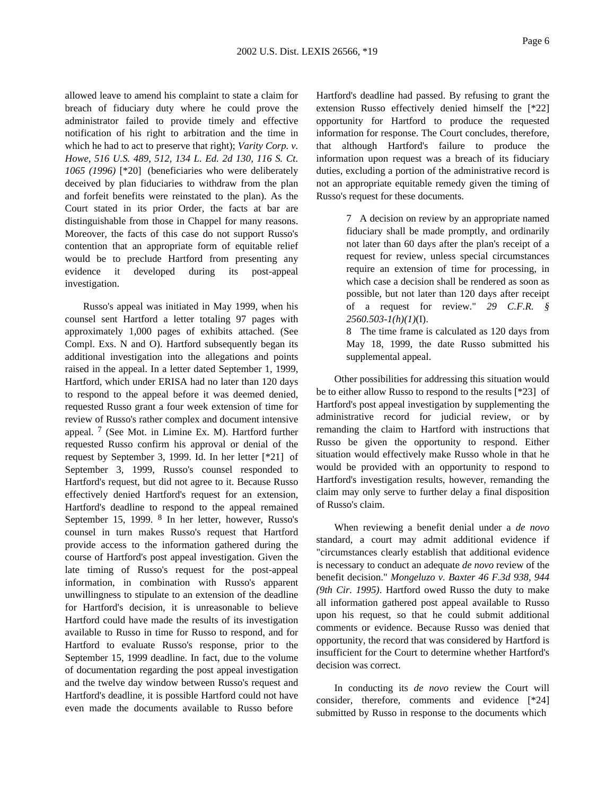allowed leave to amend his complaint to state a claim for breach of fiduciary duty where he could prove the administrator failed to provide timely and effective notification of his right to arbitration and the time in which he had to act to preserve that right); *Varity Corp. v. Howe, 516 U.S. 489, 512, 134 L. Ed. 2d 130, 116 S. Ct. 1065 (1996)* [\*20] (beneficiaries who were deliberately deceived by plan fiduciaries to withdraw from the plan and forfeit benefits were reinstated to the plan). As the Court stated in its prior Order, the facts at bar are distinguishable from those in Chappel for many reasons. Moreover, the facts of this case do not support Russo's contention that an appropriate form of equitable relief would be to preclude Hartford from presenting any evidence it developed during its post-appeal investigation.

Russo's appeal was initiated in May 1999, when his counsel sent Hartford a letter totaling 97 pages with approximately 1,000 pages of exhibits attached. (See Compl. Exs. N and O). Hartford subsequently began its additional investigation into the allegations and points raised in the appeal. In a letter dated September 1, 1999, Hartford, which under ERISA had no later than 120 days to respond to the appeal before it was deemed denied, requested Russo grant a four week extension of time for review of Russo's rather complex and document intensive appeal.  $7$  (See Mot. in Limine Ex. M). Hartford further requested Russo confirm his approval or denial of the request by September 3, 1999. Id. In her letter [\*21] of September 3, 1999, Russo's counsel responded to Hartford's request, but did not agree to it. Because Russo effectively denied Hartford's request for an extension, Hartford's deadline to respond to the appeal remained September 15, 1999. 8 In her letter, however, Russo's counsel in turn makes Russo's request that Hartford provide access to the information gathered during the course of Hartford's post appeal investigation. Given the late timing of Russo's request for the post-appeal information, in combination with Russo's apparent unwillingness to stipulate to an extension of the deadline for Hartford's decision, it is unreasonable to believe Hartford could have made the results of its investigation available to Russo in time for Russo to respond, and for Hartford to evaluate Russo's response, prior to the September 15, 1999 deadline. In fact, due to the volume of documentation regarding the post appeal investigation and the twelve day window between Russo's request and Hartford's deadline, it is possible Hartford could not have even made the documents available to Russo before

Hartford's deadline had passed. By refusing to grant the extension Russo effectively denied himself the [\*22] opportunity for Hartford to produce the requested information for response. The Court concludes, therefore, that although Hartford's failure to produce the information upon request was a breach of its fiduciary duties, excluding a portion of the administrative record is not an appropriate equitable remedy given the timing of Russo's request for these documents.

> 7 A decision on review by an appropriate named fiduciary shall be made promptly, and ordinarily not later than 60 days after the plan's receipt of a request for review, unless special circumstances require an extension of time for processing, in which case a decision shall be rendered as soon as possible, but not later than 120 days after receipt of a request for review." *29 C.F.R. § 2560.503-1(h)(1)*(I).

> 8 The time frame is calculated as 120 days from May 18, 1999, the date Russo submitted his supplemental appeal.

Other possibilities for addressing this situation would be to either allow Russo to respond to the results [\*23] of Hartford's post appeal investigation by supplementing the administrative record for judicial review, or by remanding the claim to Hartford with instructions that Russo be given the opportunity to respond. Either situation would effectively make Russo whole in that he would be provided with an opportunity to respond to Hartford's investigation results, however, remanding the claim may only serve to further delay a final disposition of Russo's claim.

When reviewing a benefit denial under a *de novo* standard, a court may admit additional evidence if "circumstances clearly establish that additional evidence is necessary to conduct an adequate *de novo* review of the benefit decision." *Mongeluzo v. Baxter 46 F.3d 938, 944 (9th Cir. 1995)*. Hartford owed Russo the duty to make all information gathered post appeal available to Russo upon his request, so that he could submit additional comments or evidence. Because Russo was denied that opportunity, the record that was considered by Hartford is insufficient for the Court to determine whether Hartford's decision was correct.

In conducting its *de novo* review the Court will consider, therefore, comments and evidence [\*24] submitted by Russo in response to the documents which